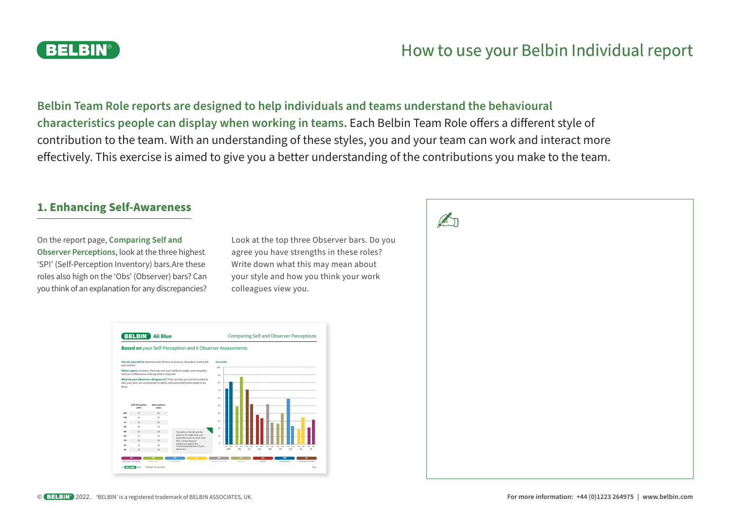## **BELBIN®**

# How to use your Belbin Individual report

**Belbin Team Role reports are designed to help individuals and teams understand the behavioural characteristics people can display when working in teams.** Each Belbin Team Role offers a different style of contribution to the team. With an understanding of these styles, you and your team can work and interact more effectively. This exercise is aimed to give you a better understanding of the contributions you make to the team.

### **1. Enhancing Self-Awareness**

On the report page, **Comparing Self and Observer Perceptions**, look at the three highest 'SPI' (Self-Perception Inventory) bars.Are these roles also high on the 'Obs' (Observer) bars? Can you think of an explanation for any discrepancies?

Look at the top three Observer bars. Do you agree you have strengths in these roles? Write down what this may mean about your style and how you think your work colleagues view you.



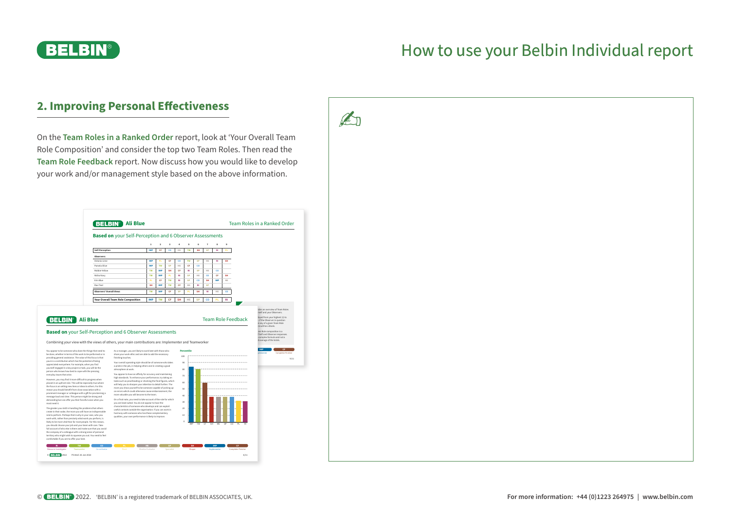

### **2. Improving Personal Effectiveness**

On the **Team Roles in a Ranked Order** report, look at 'Your Overall Team

**Ali Blue** Team Roles in a Ranked Order **Based on** your Self-Perception and 6 Observer Assessments **1 2 3 4 5 6 7 8 9 Self-Perception IMP CF CO ME TW SH SP RI PL** Observer Antonio Lime **IMP PL CF CO TW SP ME RI SH** Pamela Olive **IMP TW SP ME CF CO** Robbie Yellow **TW IMP SH CF RI SP ME CO** Nisha Navy **TW IMP PL RI SP ME CO CF SH** Erin Blue **PL CF TW RI SP CO SH IMP ME** Ravi Teal **SH IMP TW CF ME RI SP Observers' Overall Views TW IMP CF SP PL SH RI ME CO Your Overall Team Role Composition IMP TW CF SH ME SP CO PL RI** tides an overview of Team Roles rself and your Observers. **Ali Blue** strange are displayed from your highest (1) to **Ali Blue** Team Role Feedback stranged from your highest (1) to did not observe any of a given Team Role re will be a blank. am Role composition is a t Self and Observer responses. I complex formula and not a d average of the totals. resource Investigator Teamworker Complete Investigator Plant Monitor Shaper Institute Shaper Implementer Completer Finisher 9/11 **RI TW CO PL ME SP SH IMP CF** finishing touches. **Based on** your Self-Perception and 6 Observer Assessments Combining your view with the views of others, your main contributions are: Implementer and Teamw IMP TW CF SH ME SP CO PL RI 100 90 80 40 30 You appear to be someone who does the things that need to **Percentile** be done, whether in terms of the work to be performed or in providing general assistance. The value of this focus is that yours is a contribution which has the potential of being appreciated everywhere. For example, when you find yourself engaged in a key project or task, you will be the person who knows how best to cope with the pressing everyday issues that arise. However, you may find it more dificult to progress when placed in an upfront role. This will be especially true where the focus is on selling new lines or ideas to others. For this reason you should benefit from close association with a prominent manager or colleague with a gif for proclaiming a message loud and clear. This person might be strong and demanding but can offer you their forceful voice when you most need it. The greater your skill in handling the problems that others create in their wake, the more you will have an indispensable role to perform. Perhaps that is why in your case, who you wo permane it emays want to emy any our case, emoyou wh to be more vital than for most people. For this you should choose your job and your team with care. Take full account of who else is there and make sure that you avoid the company of a colleague with a strong sense of personal territory who might wish to squeeze you out. You need to feel comfortable if you are to ofer your best. As a manager, you are likely to work best with those who share your work ethic and are able to add the necessary Your overall operating style should be of someone who takes thing a good atmosphere at work. You appear to have an afinity for accuracy and maintaining high standards. To enhance your performance, try taking on tasks such as proofreading or checking the final figures, which will help you to sharpen your attention to detail further. The more you show yourself to be someone capable of picking up on errors which could otherwise cause embarrassment, the more valuable you will become to the team. On a final note, you need to take account of the role for which you are least suited. You do not appear to have the characteristics of someone who develops are who develops and can exploit and can exploit useful contacts outside the organisation. If you can work in harmony with someone who has these complementary ance is likely to improve © 2022 Printed: 26 Jan 2022 Resource Investigator Teamworker Co-ordinator Plant Monitor Evaluator Specialist Shaper Implementer Completer Finisher 6/11 **RI TW CO PL ME SP SH IMP CF** Role Composition' and consider the top two Team Roles. Then read the **Team Role Feedback** report. Now discuss how you would like to develop your work and/or management style based on the above information.

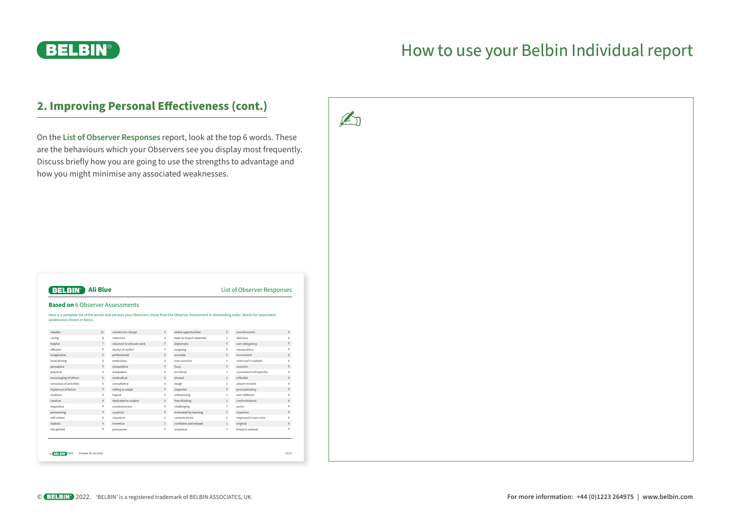

### **2. Improving Personal Effectiveness (cont.)**

On the **List of Observer Responses** report, look at the top 6 words. These are the behaviours which your Observers see you display most frequently. Discuss briefly how you are going to use the strengths to advantage and how you might minimise any associated weaknesses.

| weaknesses shown in italics. |                |                            |                         | Here is a complete list of the words and phrases your Observers chose from the Observer Assessment in descending order. Words for associated |                |                           |              |
|------------------------------|----------------|----------------------------|-------------------------|----------------------------------------------------------------------------------------------------------------------------------------------|----------------|---------------------------|--------------|
| reliable                     | 11             | resistant to change        | $\overline{3}$          | seizes opportunities                                                                                                                         | $\overline{2}$ | unenthusinstic            | $\circ$      |
| caring                       | 8              | indecisive                 | $\overline{\mathbf{3}}$ | keen to impart expertise                                                                                                                     | $\overline{2}$ | ablivious                 | $\circ$      |
| helpful                      | $\overline{7}$ | reluctant to allocate work | $\overline{3}$          | diplomatic                                                                                                                                   | $\overline{2}$ | over-delegating           | $\mathbf{0}$ |
| efficient                    | 6              | fearful of conflict        | $\overline{\mathbf{3}}$ | outgoing                                                                                                                                     | $\overline{2}$ | manipulative              | $\mathbf{0}$ |
| imaginative                  | 5              | perfectionist              | $\overline{3}$          | accurate                                                                                                                                     | $\overline{2}$ | inconsistent              | $\mathbb O$  |
| hard-driving                 | 5              | meticulous                 | $\overline{\mathbf{3}}$ | aver-sensitive                                                                                                                               | $\mathbf{1}$   | restricted in outlook     | $\mathbf{0}$ |
| perceptive                   | 5              | competitive                | $\overline{3}$          | fussy                                                                                                                                        | $\mathbf{1}$   | eccentric                 | $\circ$      |
| practical                    | 5              | outspoken                  | $\overline{\mathbf{3}}$ | territorial                                                                                                                                  | $\mathbf{1}$   | uninvolved with specifics | $\theta$     |
| encouraging of others        | 5              | methodical                 | $\overline{3}$          | shrewd                                                                                                                                       | $\mathbf{1}$   | inflexible                | $\mathbf{0}$ |
| conscious of priorities      | 5              | consultative               | $\overline{\mathbf{3}}$ | tough                                                                                                                                        | $\mathbf{1}$   | absent-minded             | $\mathbf{0}$ |
| frightened of failure        | $\ddot{4}$     | willing to adapt           | $\overline{3}$          | impartial                                                                                                                                    | $\mathbf{1}$   | procrastinating           | $\mathbf{0}$ |
| zunibutz                     | 4              | logical                    | $\overline{\mathbf{3}}$ | enterprising                                                                                                                                 | 1              | over-talkative            | $\circ$      |
| creative                     | 4              | dedicated to subject       | $\overline{\mathbf{3}}$ | free-thinking                                                                                                                                | $\mathbf{1}$   | confrontational           | $\mathbf{0}$ |
| inquisitive                  | 4              | unadventurous              | $\overline{2}$          | challenging                                                                                                                                  | $\mathbf{1}$   | pushy                     | $\theta$     |
| persevering                  | 4              | sceptical                  | $\overline{2}$          | motivated by learning                                                                                                                        | $\mathbf{1}$   | impulsive                 | $\mathbb O$  |
| self-reliant                 | 4              | impatient                  | $\overline{2}$          | corrects errors                                                                                                                              | 1              | engrossed in own area     | $\mathbf{0}$ |
| realistic                    | 4              | inventive                  | $\overline{2}$          | confident and relaxed                                                                                                                        | $\mathbf{1}$   | original                  | $\mathbf{0}$ |
| disciplined                  | 4              | persuasive                 | $\overline{2}$          | analytical                                                                                                                                   | $\mathbf{1}$   | broad in outlook          | $\Omega$     |

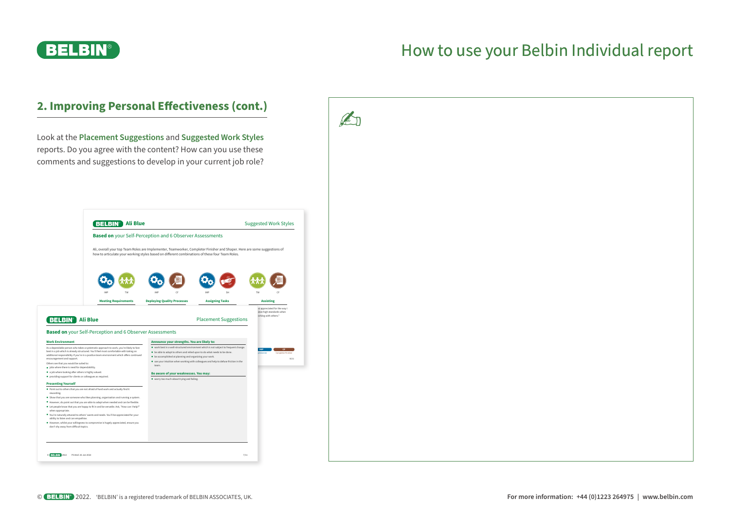

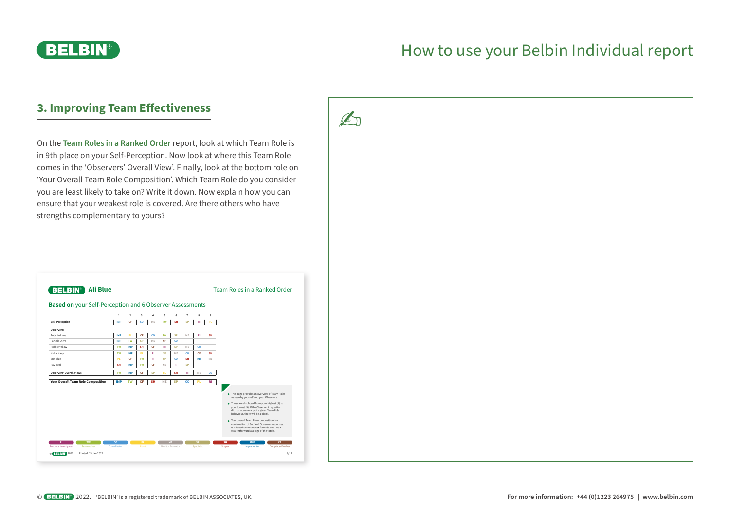

### **3. Improving Team Effectiveness**

On the **Team Roles in a Ranked Order** report, look at which Team Role is in 9th place on your Self-Perception. Now look at where this Team Role comes in the 'Observers' Overall View'. Finally, look at the bottom role on 'Your Overall Team Role Composition'. Which Team Role do you consider you are least likely to take on? Write it down. Now explain how you can ensure that your weakest role is covered. Are there others who have strengths complementary to yours?